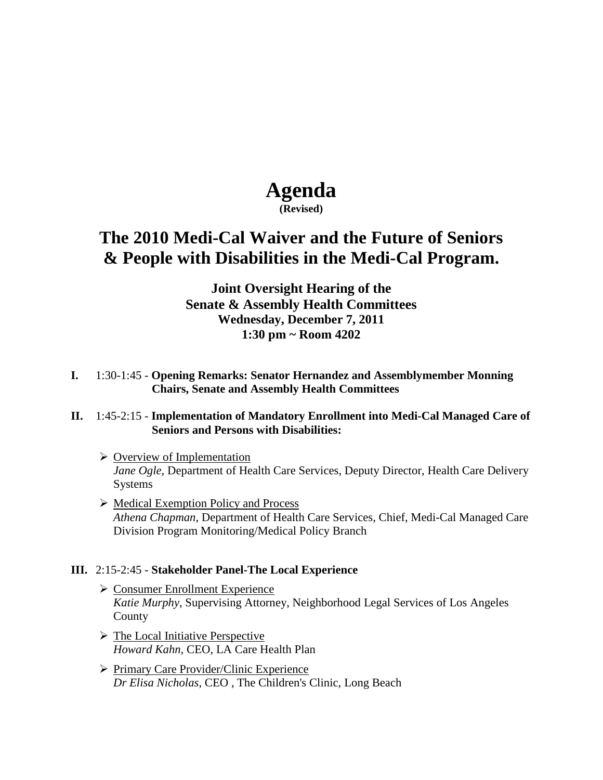# **Agenda**

**(Revised)**

## **The 2010 Medi-Cal Waiver and the Future of Seniors & People with Disabilities in the Medi-Cal Program.**

### **Joint Oversight Hearing of the Senate & Assembly Health Committees Wednesday, December 7, 2011 1:30 pm ~ Room 4202**

**I.** 1:30-1:45 - **Opening Remarks: Senator Hernandez and Assemblymember Monning Chairs, Senate and Assembly Health Committees**

#### **II.** 1:45-2:15 - **Implementation of Mandatory Enrollment into Medi-Cal Managed Care of Seniors and Persons with Disabilities:**

- $\triangleright$  Overview of Implementation *Jane Ogle*, Department of Health Care Services, Deputy Director, Health Care Delivery Systems
- $\triangleright$  Medical Exemption Policy and Process *Athena Chapman*, Department of Health Care Services, Chief, Medi-Cal Managed Care Division Program Monitoring/Medical Policy Branch

#### **III.** 2:15-2:45 - **Stakeholder Panel-The Local Experience**

- $\triangleright$  Consumer Enrollment Experience *Katie Murphy*, Supervising Attorney, Neighborhood Legal Services of Los Angeles County
- $\triangleright$  The Local Initiative Perspective *Howard Kahn*, CEO, LA Care Health Plan
- $\triangleright$  Primary Care Provider/Clinic Experience *Dr Elisa Nicholas*, CEO , The Children's Clinic, Long Beach